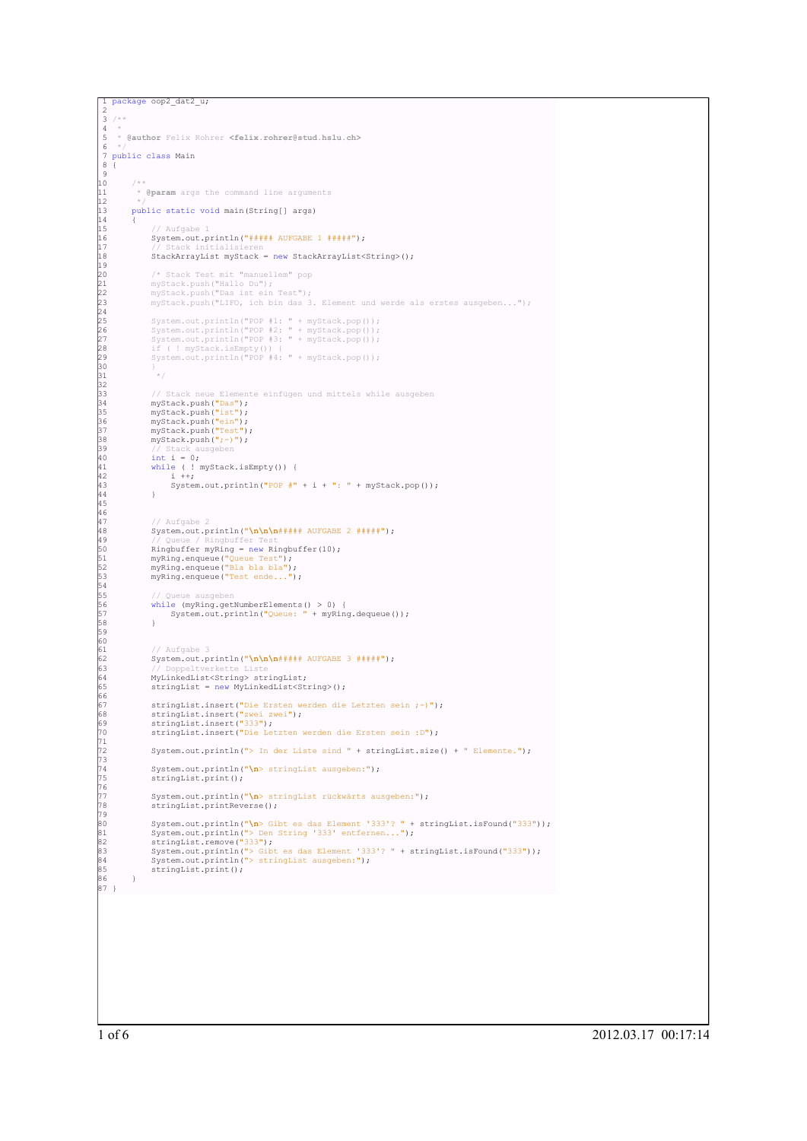```
1 package oop2_dat2_u;<br>
2 /**<br>
3 /**<br>
5 * @author Felix Rohrer <felix.rohrer@stud.hslu.ch><br>
5 */<br>
7 public class Main<br>
8 {<br>
9<br>
9 **<br>
11 * @param args the command line arguments
1 1<br>1 2
            public static void main(String[] args)
13<br>14<br>15<br>16<br>17
                          Aufgabe
                    System.out.println("##### AUFGABE 1 #####");
17 // Stack initialisieren
18 StackArrayList myStack = new StackArrayList<String>();
18<br>19<br>2020 /* Stack Test mit "manuellem" pop
21 myStack.push("Hallo Du");
22 myStack.push("Das ist ein Test");
23 myStack.push("LIFO, ich bin das 3. Element und werde als erstes ausgeben...");
\frac{24}{25}95 System.out.println("POP #1: " + myStack.pop());<br>26 System.out.println("POP #2: " + myStack.pop());<br>27 System.out.println("POP #3: " + myStack.pop());<br>16 if ( ! myStack.isEmpty()) {<br>29 System.out.println("POP #4: " + myS
\begin{array}{ccc} 2 & 3 & 3 & 3 \ 2 & 3 & 1 & 5 \ 30 & 31 & 31 & 31 \end{array}31 */
32
                     // Stack neue Elemente einfügen und mittels while ausgeben
34 myStack.push("Das");<br>35 myStack.push("ein");<br>37 myStack.push("Test");<br>38 myStack.push("Test");<br>38 // Stack ausgeben
40 int i = 0;
41 while ( ! myStack.isEmpty()) {
42 i ++;
                    \text{System.out.println("POP #" + i + ": " + myStack.pop());}44 }<br>45<br>46
                         Aufgabe
                    \frac{1}{4} System.out.println("\n\n\n##### AUFGABE 2 #####");
49 // Queue / Ringbuffer Test<br>50 Ringbuffer myRing = new Ringbuffer(10);<br>51 myRing.enqueue("<mark>Queue Test");</mark><br>52 myRing.enqueue("<mark>Bla bla bla");</mark><br>53 myRing.enqueue("Test ende...");
54
55 // Queue ausgeben
56 while (myRing.getNumberElements() > 0) {
57 System.out.println("Queue: " + myRing.dequeue());
58 }
59
- 60<br>61<br>62
                     // Aufgabe 3
62 System.out.println("\n\n\n##### AUFGABE 3 #####");
63 // Doppeltverkette Liste
64 MyLinkedList<String> stringList;
                    65 stringList = new MyLinkedList<String>();
65<br>66<br>67
00<br>67 stringList.insert("Die Ersten werden die Letzten sein ;-)");<br>68 stringList.insert("333");<br>70 stringList.insert("Die Letzten werden die Ersten sein :D");
68 stringList.insert("zwei zwei");<br>69 stringList.insert("333");<br>70 stringList.insert("Die Letzten werden die Ersten sein :D");
71
                    72 System.out.println("> In der Liste sind " + stringList.size() + " Elemente.");
73
                    System.out.println("\n> stringList ausgeben:");
                    stringList.print();
76
                    System.out.println("\n> stringList rückwärts ausgeben:");
                    stringList.printReverse();
79
80 System.out.println("\n> Gibt es das Element '333'? " + stringList.isFound("333"));<br>81 System.out.println("> Den String '333' entfernen...");<br>82 stringList.remove("333");<br>83 System.out.println("> Gibt es das Element '333
 85<br>86 }
87 }
```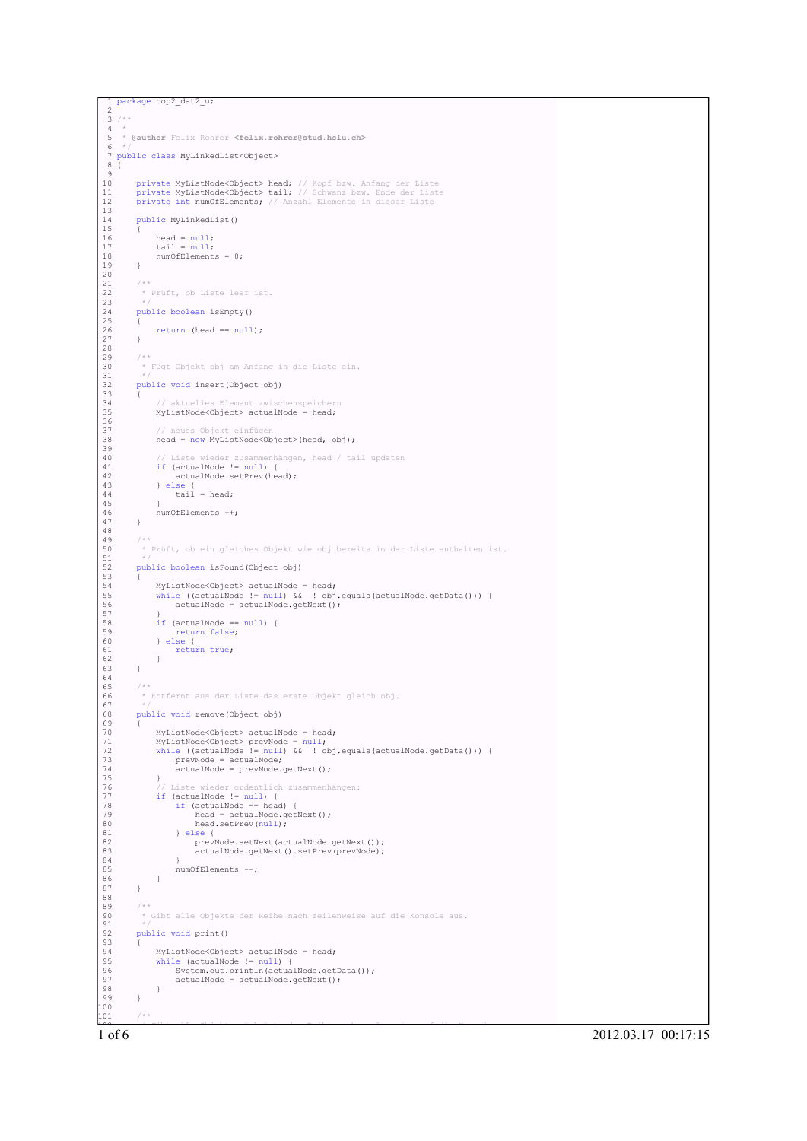```
package oop2_dat2_u;
  2
  \overline{3} /**
 \frac{4}{5}5 * @author Felix Rohrer <felix.rohrer@stud.hslu.ch>
  6 */
7 public class MyLinkedList<Object>
 8 {
1010 private MyListNode<Object> head; // Kopf bzw. Anfang der Liste<br>11 private MyListNode<Object> tail; // Schwanz bzw. Ende der Liste<br>12 private int numOfElements; // Anzahl Elemente in dieser Liste
 13
         public MyLinkedList()
 15 {
 16 head = null;<br>17 tail = null;
         numOfElements = 0;
 19 }
20
         7 * *.<br>* Prüft, ob Liste leer ist.
 23 */
         public boolean isEmpty()
 25 {
         \tt return (head == null);27 }
28
 29 /**
30 * Fügt Objekt obj am Anfang in die Liste ein.
 31 * /public void insert(Object obj)
 33 {
 34 // aktuelles Element zwischenspeichern
35 MyListNode<Object> actualNode = head;
 36
               // neues Objekt einfügen
              head = new MyListNode<Object>(head, obj);
 39
 40 // Liste wieder zusammenhängen, head / tail updaten
41 if (actualNode != null) {
42 actualNode.setPrev(head);
              3 else \elltail = head;45 }
         numOfElements ++;
 47 }
48
 49 /**
50 * Prüft, ob ein gleiches Objekt wie obj bereits in der Liste enthalten ist.
 51 */
         public boolean isFound(Object obj)
 53 {
              MyListNode < 0bject> actualNode = head;
 55 while ((actualNode != null) && ! obj.equals(actualNode.getData())) {
56 actualNode = actualNode.getNext();
 57 }
              if (actualNode == null) {
 59 return false;
60 } else {
              form true;<br>}
 62 }
 63 }
64
         /**
          * Entfernt aus der Liste das erste Objekt gleich obj.
 67 */
         public void remove(Object obj)
 69 {
              70 MyListNode<Object> actualNode = head;
 71 MyListNode<Object> prevNode = null;
72 while ((actualNode != null) && ! obj.equals(actualNode.getData())) {
73 prevNode = actualNode;
74 actualNode = prevNode.getNext();
 75 }
 76 // Liste wieder ordentlich zusammenhängen:
77 if (actualNode != null) {
                    if (actualNode == head)head = actualNode.getNext();head.setPrev(null);
                   81 } else {
 82 prevNode.setNext(actualNode.getNext());
83 actualNode.getNext().setPrev(prevNode);
 84 }
              numOfElements --;
85<br>86<br>87 }
 87 }
88
 89 /**
          * Gibt alle Objekte der Reihe nach zeilenweise auf die Konsole aus.<br>*/
 91 */
         public void print()
 93 {
 94 MyListNode<Object> actualNode = head;
95 while (actualNode != null) {
96 System.out.println(actualNode.getData());
97 actualNode = actualNode.getNext();
98 }
99 }
100
101 /**
```
1 of 6 2012.03.17 00:17:15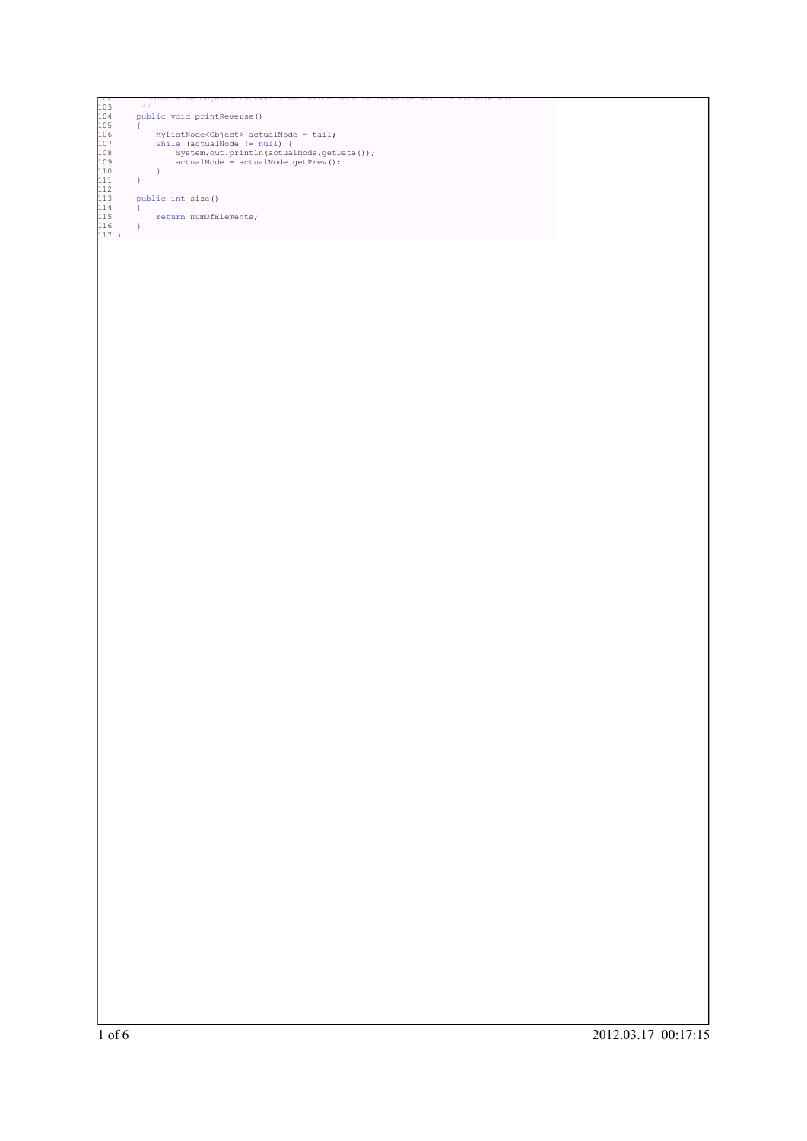```
102 * Gibt alle Objekte rückwärts der Reihe nach zeilenweise auf die Konsole aus.
103 */
104 public void printReverse()
105 {
106 MyListNode<Object> actualNode = tail;<br>
107 while (actualNode != null) {<br>
108 System.out.println(actualNode.getData());<br>
109 actualNode = actualNode.getPrev();<br>
110 }
111 }
112
           public int size() \{114 {
           <sup>1</sup> return numOfElements;
116 }
117 }
```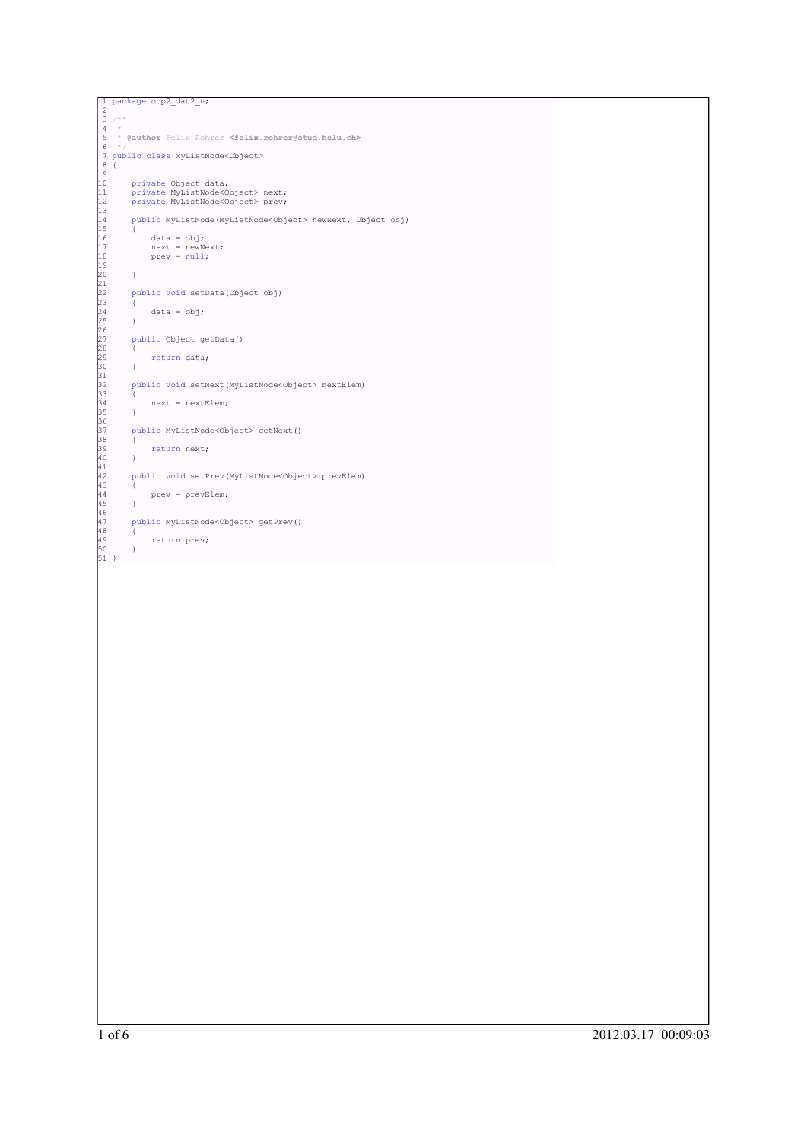```
]<br>
2<br>
3 /**<br>
4 *<br>
4 *<br>
5 * @author Felix Rohrer <felix.rohrer@stud.hslu.ch><br>
5 * @author Felix Rohrer <felix.rohrer@stud.hslu.ch<br>
6 */<br>
7 public class MyListNode<Object><br>
9<br>
10 private MyListNode<Object> next;<br>
private MyL
                             14 public MyListNode(MyListNode<Object> newNext, Object obj)
15 {
16 data = obj;
17 next = newNext;
18 prev = null;
19
20 }
21
22 public void setData(Object obj)
23 {
24 data = obj;
25 }
26
27 public Object getData()
28 {
29 return data;
30 }
31
32 public void setNext(MyListNode<Object> nextElem)
33 {
34 next = nextElem;
35 }
36
37 public MyListNode<Object> getNext()
38 {
39 return next;
40 }
41
42 public void setPrev(MyListNode<Object> prevElem)
43 {
44 prev = prevElem;
45 }
46
47 public MyListNode<Object> getPrev()
48 {
49 return prev;
50 }
51 }
```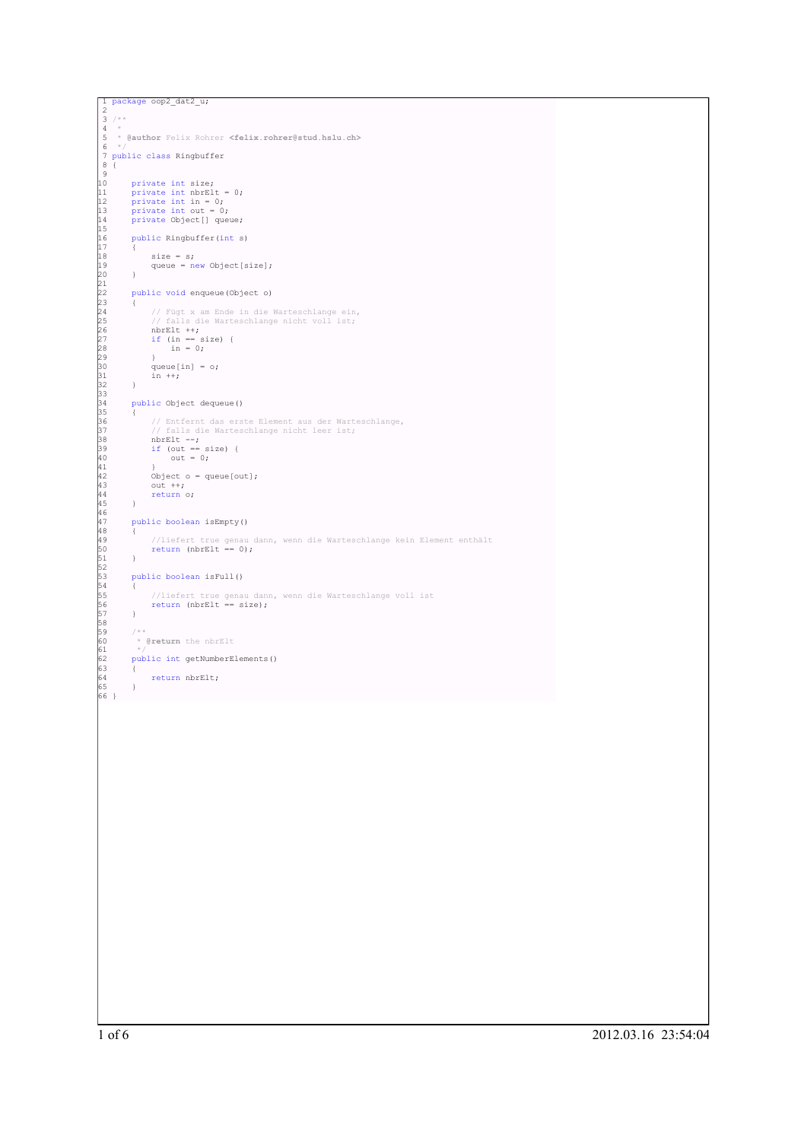```
1 package oop2_dat2_u;<br>
2 /**<br>
4 *<br>
4 * *<br>
4 * * (aauthor Felix Rohrer <felix.rohrer@stud.hslu.ch><br>
5 */aauthor Felix Rohrer <felix.rohrer@stud.hslu.ch><br>
7 */*<br>
10 private int mile:<br>
11 private int mile:<br>
11 private int mi
                          //liefert true genau dann, wenn die Warteschlange kein Element enthält<br>return (nbrElt == 0);
50 return (nbrElt == 0);
51 }
52
53 public boolean isFull()
54 {
                        //liefert true genau dann, wenn die Warteschlange voll ist<br>return (nbrElt == size);
56 return (nbrElt == size);<br>57 }<br>58 /**<br>60 * @return the nbrElt<br>61 * /<br>62 public int getNumberElements()<br>63 {<br>64 return nbrElt;
63<br>64<br>65<br>66 }
```